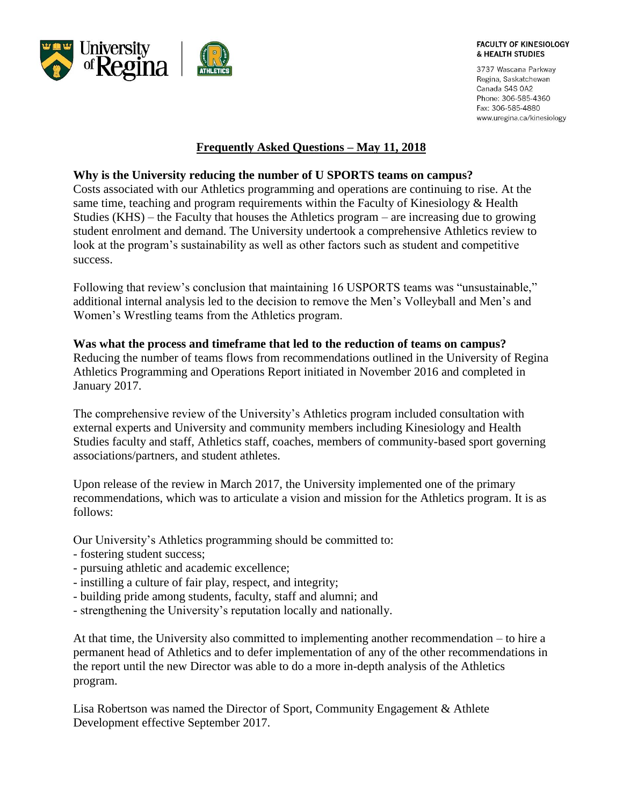

3737 Wascana Parkway Regina, Saskatchewan Canada S4S 0A2 Phone: 306-585-4360 Fax: 306-585-4880 www.uregina.ca/kinesiology

# **Frequently Asked Questions – May 11, 2018**

## **Why is the University reducing the number of U SPORTS teams on campus?**

Costs associated with our Athletics programming and operations are continuing to rise. At the same time, teaching and program requirements within the Faculty of Kinesiology & Health Studies (KHS) – the Faculty that houses the Athletics program – are increasing due to growing student enrolment and demand. The University undertook a comprehensive Athletics review to look at the program's sustainability as well as other factors such as student and competitive success.

Following that review's conclusion that maintaining 16 USPORTS teams was "unsustainable," additional internal analysis led to the decision to remove the Men's Volleyball and Men's and Women's Wrestling teams from the Athletics program.

#### **Was what the process and timeframe that led to the reduction of teams on campus?**

Reducing the number of teams flows from recommendations outlined in the University of Regina Athletics Programming and Operations Report initiated in November 2016 and completed in January 2017.

The comprehensive review of the University's Athletics program included consultation with external experts and University and community members including Kinesiology and Health Studies faculty and staff, Athletics staff, coaches, members of community-based sport governing associations/partners, and student athletes.

Upon release of the review in March 2017, the University implemented one of the primary recommendations, which was to articulate a vision and mission for the Athletics program. It is as follows:

Our University's Athletics programming should be committed to:

- fostering student success;
- pursuing athletic and academic excellence;
- instilling a culture of fair play, respect, and integrity;
- building pride among students, faculty, staff and alumni; and
- strengthening the University's reputation locally and nationally.

At that time, the University also committed to implementing another recommendation – to hire a permanent head of Athletics and to defer implementation of any of the other recommendations in the report until the new Director was able to do a more in-depth analysis of the Athletics program.

Lisa Robertson was named the Director of Sport, Community Engagement & Athlete Development effective September 2017.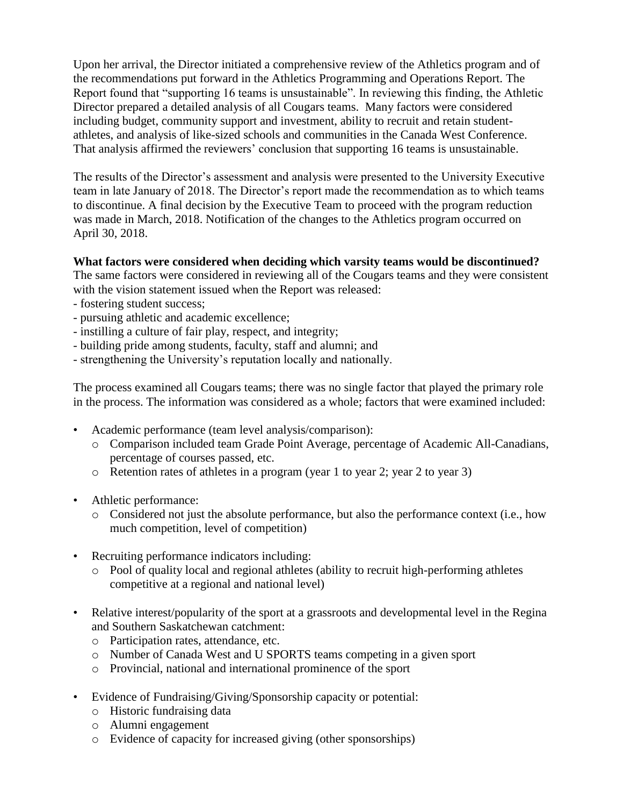Upon her arrival, the Director initiated a comprehensive review of the Athletics program and of the recommendations put forward in the Athletics Programming and Operations Report. The Report found that "supporting 16 teams is unsustainable". In reviewing this finding, the Athletic Director prepared a detailed analysis of all Cougars teams. Many factors were considered including budget, community support and investment, ability to recruit and retain studentathletes, and analysis of like-sized schools and communities in the Canada West Conference. That analysis affirmed the reviewers' conclusion that supporting 16 teams is unsustainable.

The results of the Director's assessment and analysis were presented to the University Executive team in late January of 2018. The Director's report made the recommendation as to which teams to discontinue. A final decision by the Executive Team to proceed with the program reduction was made in March, 2018. Notification of the changes to the Athletics program occurred on April 30, 2018.

## **What factors were considered when deciding which varsity teams would be discontinued?**

The same factors were considered in reviewing all of the Cougars teams and they were consistent with the vision statement issued when the Report was released:

- fostering student success;
- pursuing athletic and academic excellence;
- instilling a culture of fair play, respect, and integrity;
- building pride among students, faculty, staff and alumni; and
- strengthening the University's reputation locally and nationally.

The process examined all Cougars teams; there was no single factor that played the primary role in the process. The information was considered as a whole; factors that were examined included:

- Academic performance (team level analysis/comparison):
	- o Comparison included team Grade Point Average, percentage of Academic All-Canadians, percentage of courses passed, etc.
	- o Retention rates of athletes in a program (year 1 to year 2; year 2 to year 3)
- Athletic performance:
	- o Considered not just the absolute performance, but also the performance context (i.e., how much competition, level of competition)
- Recruiting performance indicators including:
	- o Pool of quality local and regional athletes (ability to recruit high-performing athletes competitive at a regional and national level)
- Relative interest/popularity of the sport at a grassroots and developmental level in the Regina and Southern Saskatchewan catchment:
	- o Participation rates, attendance, etc.
	- o Number of Canada West and U SPORTS teams competing in a given sport
	- o Provincial, national and international prominence of the sport
- Evidence of Fundraising/Giving/Sponsorship capacity or potential:
	- o Historic fundraising data
	- o Alumni engagement
	- o Evidence of capacity for increased giving (other sponsorships)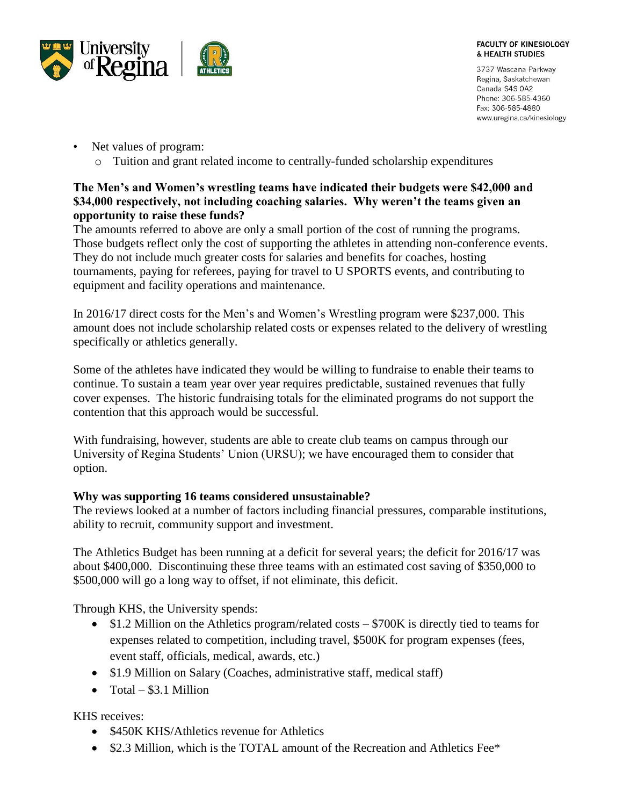

3737 Wascana Parkway Regina, Saskatchewan Canada S4S 0A2 Phone: 306-585-4360 Fax: 306-585-4880 www.uregina.ca/kinesiology

- Net values of program:
	- o Tuition and grant related income to centrally-funded scholarship expenditures

# **The Men's and Women's wrestling teams have indicated their budgets were \$42,000 and \$34,000 respectively, not including coaching salaries. Why weren't the teams given an opportunity to raise these funds?**

The amounts referred to above are only a small portion of the cost of running the programs. Those budgets reflect only the cost of supporting the athletes in attending non-conference events. They do not include much greater costs for salaries and benefits for coaches, hosting tournaments, paying for referees, paying for travel to U SPORTS events, and contributing to equipment and facility operations and maintenance.

In 2016/17 direct costs for the Men's and Women's Wrestling program were \$237,000. This amount does not include scholarship related costs or expenses related to the delivery of wrestling specifically or athletics generally.

Some of the athletes have indicated they would be willing to fundraise to enable their teams to continue. To sustain a team year over year requires predictable, sustained revenues that fully cover expenses. The historic fundraising totals for the eliminated programs do not support the contention that this approach would be successful.

With fundraising, however, students are able to create club teams on campus through our University of Regina Students' Union (URSU); we have encouraged them to consider that option.

# **Why was supporting 16 teams considered unsustainable?**

The reviews looked at a number of factors including financial pressures, comparable institutions, ability to recruit, community support and investment.

The Athletics Budget has been running at a deficit for several years; the deficit for 2016/17 was about \$400,000. Discontinuing these three teams with an estimated cost saving of \$350,000 to \$500,000 will go a long way to offset, if not eliminate, this deficit.

Through KHS, the University spends:

- $\bullet$  \$1.2 Million on the Athletics program/related costs \$700K is directly tied to teams for expenses related to competition, including travel, \$500K for program expenses (fees, event staff, officials, medical, awards, etc.)
- \$1.9 Million on Salary (Coaches, administrative staff, medical staff)
- $\bullet$  Total \$3.1 Million

KHS receives:

- \$450K KHS/Athletics revenue for Athletics
- \$2.3 Million, which is the TOTAL amount of the Recreation and Athletics Fee\*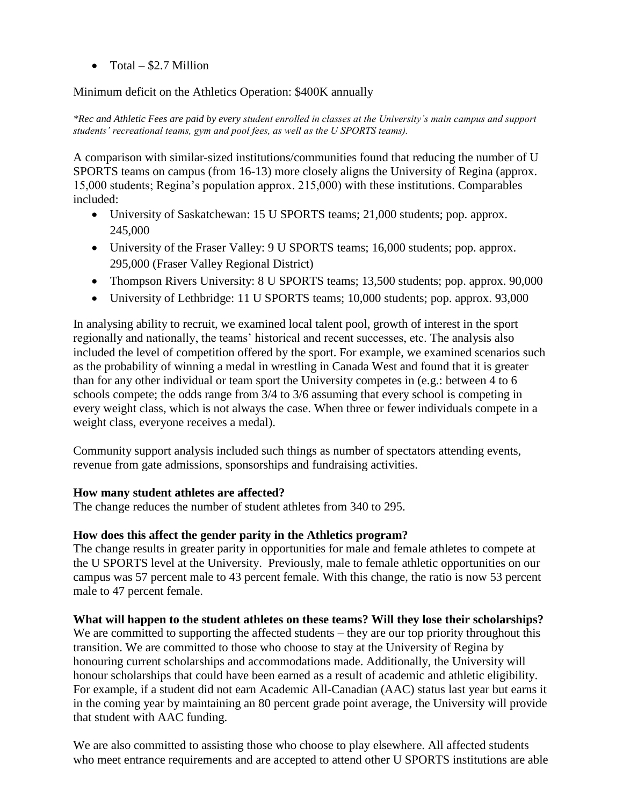• Total  $-$  \$2.7 Million

Minimum deficit on the Athletics Operation: \$400K annually

*\*Rec and Athletic Fees are paid by every student enrolled in classes at the University's main campus and support students' recreational teams, gym and pool fees, as well as the U SPORTS teams).*

A comparison with similar-sized institutions/communities found that reducing the number of U SPORTS teams on campus (from 16-13) more closely aligns the University of Regina (approx. 15,000 students; Regina's population approx. 215,000) with these institutions. Comparables included:

- University of Saskatchewan: 15 U SPORTS teams; 21,000 students; pop. approx. 245,000
- University of the Fraser Valley: 9 U SPORTS teams; 16,000 students; pop. approx. 295,000 (Fraser Valley Regional District)
- Thompson Rivers University: 8 U SPORTS teams; 13,500 students; pop. approx. 90,000
- University of Lethbridge: 11 U SPORTS teams; 10,000 students; pop. approx. 93,000

In analysing ability to recruit, we examined local talent pool, growth of interest in the sport regionally and nationally, the teams' historical and recent successes, etc. The analysis also included the level of competition offered by the sport. For example, we examined scenarios such as the probability of winning a medal in wrestling in Canada West and found that it is greater than for any other individual or team sport the University competes in (e.g.: between 4 to 6 schools compete; the odds range from 3/4 to 3/6 assuming that every school is competing in every weight class, which is not always the case. When three or fewer individuals compete in a weight class, everyone receives a medal).

Community support analysis included such things as number of spectators attending events, revenue from gate admissions, sponsorships and fundraising activities.

### **How many student athletes are affected?**

The change reduces the number of student athletes from 340 to 295.

# **How does this affect the gender parity in the Athletics program?**

The change results in greater parity in opportunities for male and female athletes to compete at the U SPORTS level at the University. Previously, male to female athletic opportunities on our campus was 57 percent male to 43 percent female. With this change, the ratio is now 53 percent male to 47 percent female.

### **What will happen to the student athletes on these teams? Will they lose their scholarships?**

We are committed to supporting the affected students – they are our top priority throughout this transition. We are committed to those who choose to stay at the University of Regina by honouring current scholarships and accommodations made. Additionally, the University will honour scholarships that could have been earned as a result of academic and athletic eligibility. For example, if a student did not earn Academic All-Canadian (AAC) status last year but earns it in the coming year by maintaining an 80 percent grade point average, the University will provide that student with AAC funding.

We are also committed to assisting those who choose to play elsewhere. All affected students who meet entrance requirements and are accepted to attend other U SPORTS institutions are able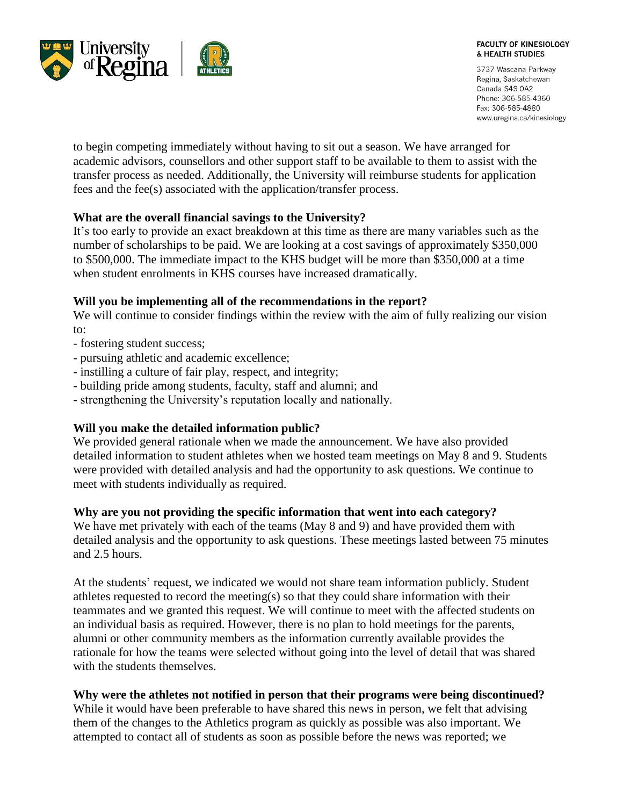

3737 Wascana Parkway Regina, Saskatchewan Canada S4S 0A2 Phone: 306-585-4360 Fax: 306-585-4880 www.uregina.ca/kinesiology

to begin competing immediately without having to sit out a season. We have arranged for academic advisors, counsellors and other support staff to be available to them to assist with the transfer process as needed. Additionally, the University will reimburse students for application fees and the fee(s) associated with the application/transfer process.

## **What are the overall financial savings to the University?**

It's too early to provide an exact breakdown at this time as there are many variables such as the number of scholarships to be paid. We are looking at a cost savings of approximately \$350,000 to \$500,000. The immediate impact to the KHS budget will be more than \$350,000 at a time when student enrolments in KHS courses have increased dramatically.

## **Will you be implementing all of the recommendations in the report?**

We will continue to consider findings within the review with the aim of fully realizing our vision to:

- fostering student success;
- pursuing athletic and academic excellence;
- instilling a culture of fair play, respect, and integrity;
- building pride among students, faculty, staff and alumni; and
- strengthening the University's reputation locally and nationally.

# **Will you make the detailed information public?**

We provided general rationale when we made the announcement. We have also provided detailed information to student athletes when we hosted team meetings on May 8 and 9. Students were provided with detailed analysis and had the opportunity to ask questions. We continue to meet with students individually as required.

### **Why are you not providing the specific information that went into each category?**

We have met privately with each of the teams (May 8 and 9) and have provided them with detailed analysis and the opportunity to ask questions. These meetings lasted between 75 minutes and 2.5 hours.

At the students' request, we indicated we would not share team information publicly. Student athletes requested to record the meeting(s) so that they could share information with their teammates and we granted this request. We will continue to meet with the affected students on an individual basis as required. However, there is no plan to hold meetings for the parents, alumni or other community members as the information currently available provides the rationale for how the teams were selected without going into the level of detail that was shared with the students themselves.

# **Why were the athletes not notified in person that their programs were being discontinued?**

While it would have been preferable to have shared this news in person, we felt that advising them of the changes to the Athletics program as quickly as possible was also important. We attempted to contact all of students as soon as possible before the news was reported; we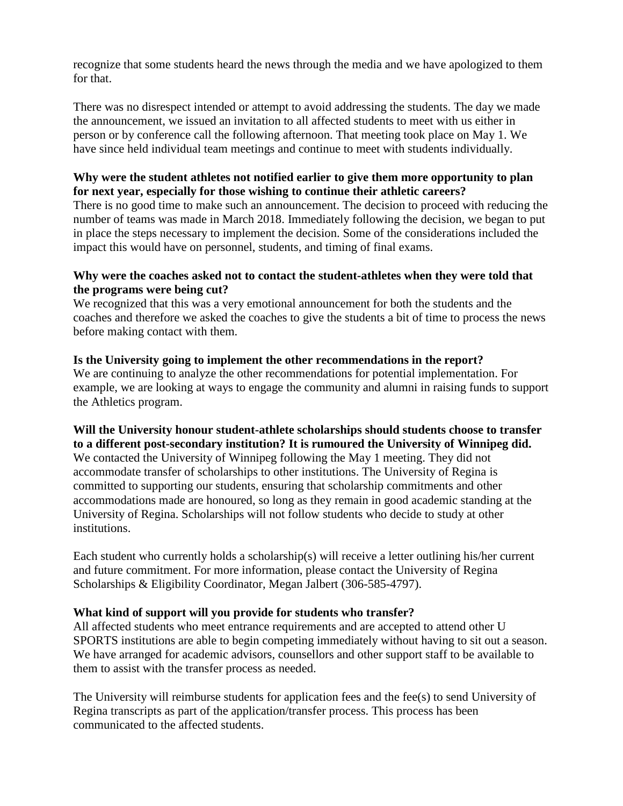recognize that some students heard the news through the media and we have apologized to them for that.

There was no disrespect intended or attempt to avoid addressing the students. The day we made the announcement, we issued an invitation to all affected students to meet with us either in person or by conference call the following afternoon. That meeting took place on May 1. We have since held individual team meetings and continue to meet with students individually.

# **Why were the student athletes not notified earlier to give them more opportunity to plan for next year, especially for those wishing to continue their athletic careers?**

There is no good time to make such an announcement. The decision to proceed with reducing the number of teams was made in March 2018. Immediately following the decision, we began to put in place the steps necessary to implement the decision. Some of the considerations included the impact this would have on personnel, students, and timing of final exams.

## **Why were the coaches asked not to contact the student-athletes when they were told that the programs were being cut?**

We recognized that this was a very emotional announcement for both the students and the coaches and therefore we asked the coaches to give the students a bit of time to process the news before making contact with them.

# **Is the University going to implement the other recommendations in the report?**

We are continuing to analyze the other recommendations for potential implementation. For example, we are looking at ways to engage the community and alumni in raising funds to support the Athletics program.

# **Will the University honour student-athlete scholarships should students choose to transfer to a different post-secondary institution? It is rumoured the University of Winnipeg did.**

We contacted the University of Winnipeg following the May 1 meeting. They did not accommodate transfer of scholarships to other institutions. The University of Regina is committed to supporting our students, ensuring that scholarship commitments and other accommodations made are honoured, so long as they remain in good academic standing at the University of Regina. Scholarships will not follow students who decide to study at other institutions.

Each student who currently holds a scholarship(s) will receive a letter outlining his/her current and future commitment. For more information, please contact the University of Regina Scholarships & Eligibility Coordinator, Megan Jalbert (306-585-4797).

# **What kind of support will you provide for students who transfer?**

All affected students who meet entrance requirements and are accepted to attend other U SPORTS institutions are able to begin competing immediately without having to sit out a season. We have arranged for academic advisors, counsellors and other support staff to be available to them to assist with the transfer process as needed.

The University will reimburse students for application fees and the fee(s) to send University of Regina transcripts as part of the application/transfer process. This process has been communicated to the affected students.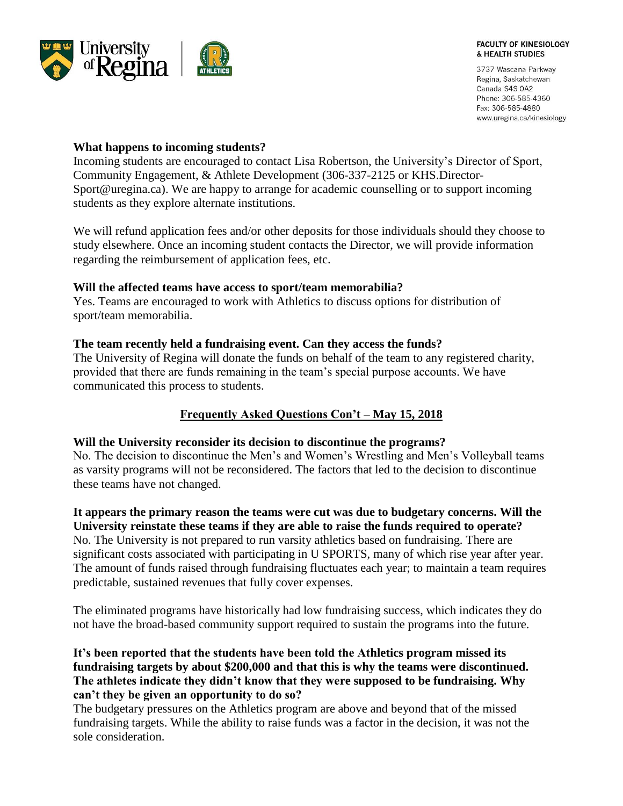

3737 Wascana Parkway Regina, Saskatchewan Canada S4S 0A2 Phone: 306-585-4360 Fax: 306-585-4880 www.uregina.ca/kinesiology

## **What happens to incoming students?**

Incoming students are encouraged to contact Lisa Robertson, the University's Director of Sport, Community Engagement, & Athlete Development (306-337-2125 or KHS.Director-Sport@uregina.ca). We are happy to arrange for academic counselling or to support incoming students as they explore alternate institutions.

We will refund application fees and/or other deposits for those individuals should they choose to study elsewhere. Once an incoming student contacts the Director, we will provide information regarding the reimbursement of application fees, etc.

## **Will the affected teams have access to sport/team memorabilia?**

Yes. Teams are encouraged to work with Athletics to discuss options for distribution of sport/team memorabilia.

## **The team recently held a fundraising event. Can they access the funds?**

The University of Regina will donate the funds on behalf of the team to any registered charity, provided that there are funds remaining in the team's special purpose accounts. We have communicated this process to students.

# **Frequently Asked Questions Con't – May 15, 2018**

### **Will the University reconsider its decision to discontinue the programs?**

No. The decision to discontinue the Men's and Women's Wrestling and Men's Volleyball teams as varsity programs will not be reconsidered. The factors that led to the decision to discontinue these teams have not changed.

**It appears the primary reason the teams were cut was due to budgetary concerns. Will the University reinstate these teams if they are able to raise the funds required to operate?** No. The University is not prepared to run varsity athletics based on fundraising. There are significant costs associated with participating in U SPORTS, many of which rise year after year. The amount of funds raised through fundraising fluctuates each year; to maintain a team requires predictable, sustained revenues that fully cover expenses.

The eliminated programs have historically had low fundraising success, which indicates they do not have the broad-based community support required to sustain the programs into the future.

# **It's been reported that the students have been told the Athletics program missed its fundraising targets by about \$200,000 and that this is why the teams were discontinued. The athletes indicate they didn't know that they were supposed to be fundraising. Why can't they be given an opportunity to do so?**

The budgetary pressures on the Athletics program are above and beyond that of the missed fundraising targets. While the ability to raise funds was a factor in the decision, it was not the sole consideration.